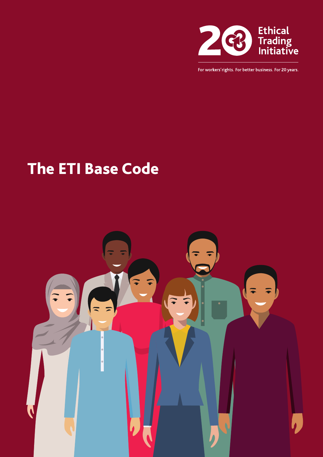

For workers' rights. For better business. For 20 years.

## The ETI Base Code

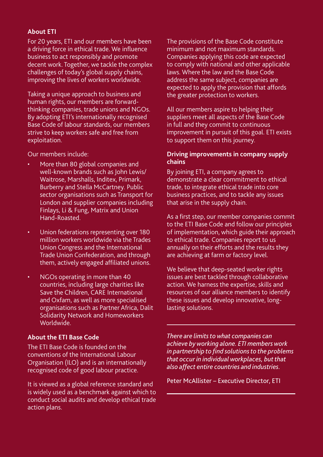#### **About ETI**

For 20 years, ETI and our members have been a driving force in ethical trade. We influence business to act responsibly and promote decent work. Together, we tackle the complex challenges of today's global supply chains, improving the lives of workers worldwide.

Taking a unique approach to business and human rights, our members are forwardthinking companies, trade unions and NGOs. By adopting ETI's internationally recognised Base Code of labour standards, our members strive to keep workers safe and free from exploitation.

Our members include:

- More than 80 global companies and well-known brands such as John Lewis/ Waitrose, Marshalls, Inditex, Primark, Burberry and Stella McCartney. Public sector organisations such as Transport for London and supplier companies including Finlays, Li & Fung, Matrix and Union Hand-Roasted.
- Union federations representing over 180 million workers worldwide via the Trades Union Congress and the International Trade Union Confederation, and through them, actively engaged affiliated unions.
- NGOs operating in more than 40 countries, including large charities like Save the Children, CARE International and Oxfam, as well as more specialised organisations such as Partner Africa, Dalit Solidarity Network and Homeworkers Worldwide.

#### **About the ETI Base Code**

The ETI Base Code is founded on the conventions of the International Labour Organisation (ILO) and is an internationally recognised code of good labour practice.

It is viewed as a global reference standard and is widely used as a benchmark against which to conduct social audits and develop ethical trade action plans.

The provisions of the Base Code constitute minimum and not maximum standards. Companies applying this code are expected to comply with national and other applicable laws. Where the law and the Base Code address the same subject, companies are expected to apply the provision that affords the greater protection to workers.

All our members aspire to helping their suppliers meet all aspects of the Base Code in full and they commit to continuous improvement in pursuit of this goal. ETI exists to support them on this journey.

#### **Driving improvements in company supply chains**

By joining ETI, a company agrees to demonstrate a clear commitment to ethical trade, to integrate ethical trade into core business practices, and to tackle any issues that arise in the supply chain.

As a first step, our member companies commit to the ETI Base Code and follow our principles of implementation, which guide their approach to ethical trade. Companies report to us annually on their efforts and the results they are achieving at farm or factory level.

We believe that deep-seated worker rights issues are best tackled through collaborative action. We harness the expertise, skills and resources of our alliance members to identify these issues and develop innovative, longlasting solutions.

*There are limits to what companies can achieve by working alone. ETI members work in partnership to find solutions to the problems that occur in individual workplaces, but that also affect entire countries and industries.*

Peter McAllister – Executive Director, ETI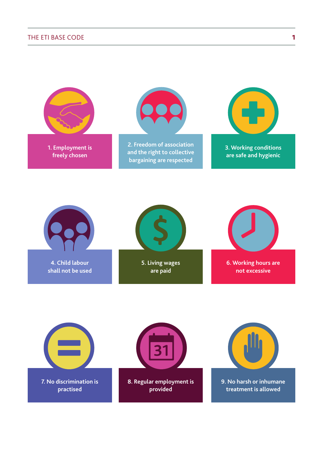

**7. No discrimination is practised**

**8. Regular employment is provided**

**9. No harsh or inhumane treatment is allowed**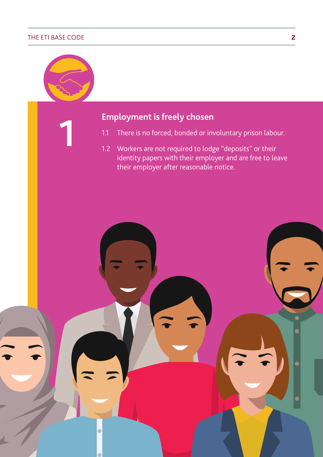**1**



- 1.1 There is no forced, bonded or involuntary prison labour.
- 1.2 Workers are not required to lodge "deposits" or their identity papers with their employer and are free to leave their employer after reasonable notice.

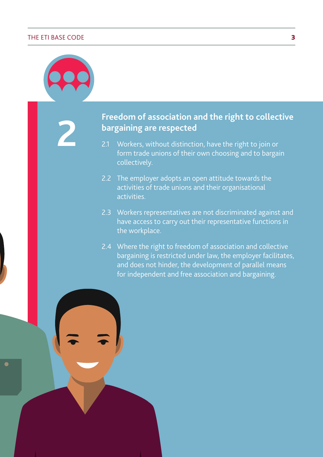**2**

### **Freedom of association and the right to collective bargaining are respected**

- 2.1 Workers, without distinction, have the right to join or form trade unions of their own choosing and to bargain collectively.
- 2.2 The employer adopts an open attitude towards the activities of trade unions and their organisational activities.
- 2.3 Workers representatives are not discriminated against and have access to carry out their representative functions in the workplace.
- 2.4 Where the right to freedom of association and collective bargaining is restricted under law, the employer facilitates, and does not hinder, the development of parallel means for independent and free association and bargaining.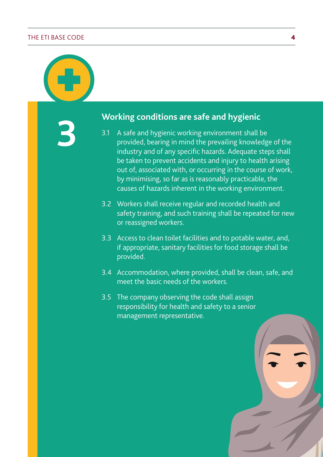**3 Working conditions are safe and hygienic**

- 3.1 A safe and hygienic working environment shall be provided, bearing in mind the prevailing knowledge of the industry and of any specific hazards. Adequate steps shall be taken to prevent accidents and injury to health arising out of, associated with, or occurring in the course of work, by minimising, so far as is reasonably practicable, the causes of hazards inherent in the working environment.
- 3.2 Workers shall receive regular and recorded health and safety training, and such training shall be repeated for new or reassigned workers.
- 3.3 Access to clean toilet facilities and to potable water, and, if appropriate, sanitary facilities for food storage shall be provided.
- 3.4 Accommodation, where provided, shall be clean, safe, and meet the basic needs of the workers.
- 3.5 The company observing the code shall assign responsibility for health and safety to a senior management representative.

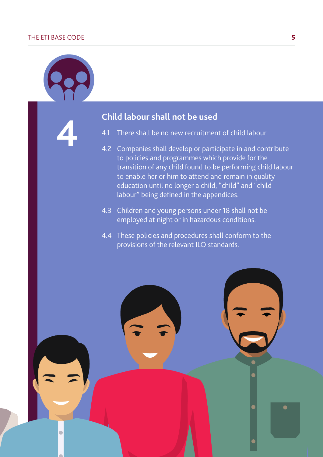**4**

**Child labour shall not be used**

- 4.1 There shall be no new recruitment of child labour.
- 4.2 Companies shall develop or participate in and contribute to policies and programmes which provide for the transition of any child found to be performing child labour to enable her or him to attend and remain in quality education until no longer a child; "child" and "child labour" being defined in the appendices.
- 4.3 Children and young persons under 18 shall not be employed at night or in hazardous conditions.
- 4.4 These policies and procedures shall conform to the provisions of the relevant ILO standards.

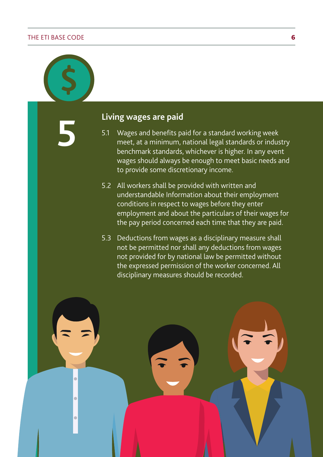$\bullet$ 

 $\bullet$ 

 $\bullet$ 

**5 Living wages are paid**

- 5.1 Wages and benefits paid for a standard working week meet, at a minimum, national legal standards or industry benchmark standards, whichever is higher. In any event wages should always be enough to meet basic needs and to provide some discretionary income.
- 5.2 All workers shall be provided with written and understandable Information about their employment conditions in respect to wages before they enter employment and about the particulars of their wages for the pay period concerned each time that they are paid.
- 5.3 Deductions from wages as a disciplinary measure shall not be permitted nor shall any deductions from wages not provided for by national law be permitted without the expressed permission of the worker concerned. All disciplinary measures should be recorded.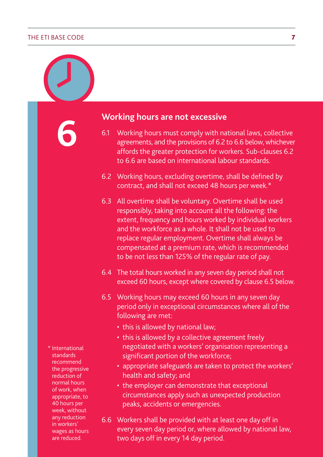**6**

**Working hours are not excessive**

- 6.1 Working hours must comply with national laws, collective agreements, and the provisions of 6.2 to 6.6 below, whichever affords the greater protection for workers. Sub-clauses 6.2 to 6.6 are based on international labour standards.
- 6.2 Working hours, excluding overtime, shall be defined by contract, and shall not exceed 48 hours per week.\*
- 6.3 All overtime shall be voluntary. Overtime shall be used responsibly, taking into account all the following: the extent, frequency and hours worked by individual workers and the workforce as a whole. It shall not be used to replace regular employment. Overtime shall always be compensated at a premium rate, which is recommended to be not less than 125% of the regular rate of pay.
- 6.4 The total hours worked in any seven day period shall not exceed 60 hours, except where covered by clause 6.5 below.
- 6.5 Working hours may exceed 60 hours in any seven day period only in exceptional circumstances where all of the following are met:
	- this is allowed by national law;
	- this is allowed by a collective agreement freely negotiated with a workers' organisation representing a significant portion of the workforce;
	- appropriate safeguards are taken to protect the workers' health and safety; and
	- the employer can demonstrate that exceptional circumstances apply such as unexpected production peaks, accidents or emergencies.
- 6.6 Workers shall be provided with at least one day off in every seven day period or, where allowed by national law, two days off in every 14 day period.

\* International standards recommend the progressive reduction of normal hours of work, when appropriate, to 40 hours per week, without any reduction in workers' wages as hours are reduced.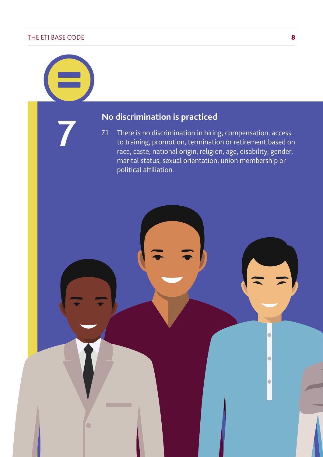$\bullet$ 

# **10 discrimination is practiced**<br>**7.1** There is no discrimination in hiring

There is no discrimination in hiring, compensation, access to training, promotion, termination or retirement based on race, caste, national origin, religion, age, disability, gender, marital status, sexual orientation, union membership or political affiliation.

 $\bullet$ 

 $\bullet$ 

 $\bullet$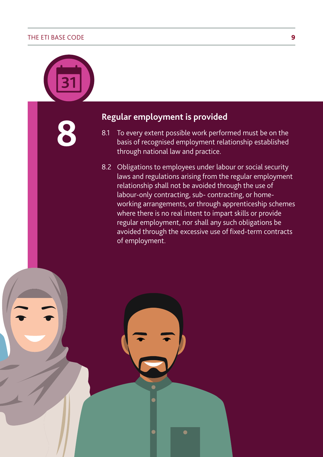**8**

**Regular employment is provided**

- 8.1 To every extent possible work performed must be on the basis of recognised employment relationship established through national law and practice.
- 8.2 Obligations to employees under labour or social security laws and regulations arising from the regular employment relationship shall not be avoided through the use of labour-only contracting, sub- contracting, or homeworking arrangements, or through apprenticeship schemes where there is no real intent to impart skills or provide regular employment, nor shall any such obligations be avoided through the excessive use of fixed-term contracts of employment.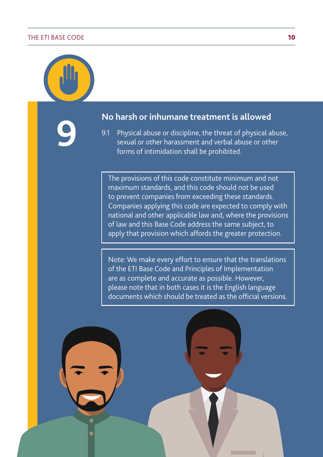**9**

**No harsh or inhumane treatment is allowed**

9.1 Physical abuse or discipline, the threat of physical abuse, sexual or other harassment and verbal abuse or other forms of intimidation shall be prohibited.

The provisions of this code constitute minimum and not maximum standards, and this code should not be used to prevent companies from exceeding these standards. Companies applying this code are expected to comply with national and other applicable law and, where the provisions of law and this Base Code address the same subject, to apply that provision which affords the greater protection.

Note: We make every effort to ensure that the translations of the ETI Base Code and Principles of Implementation are as complete and accurate as possible. However, please note that in both cases it is the English language documents which should be treated as the official versions.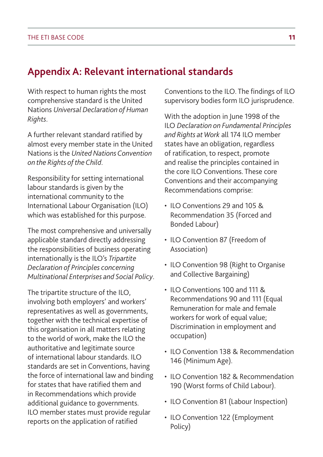## **Appendix A: Relevant international standards**

With respect to human rights the most comprehensive standard is the United Nations *Universal Declaration of Human Rights*.

A further relevant standard ratified by almost every member state in the United Nations is the *United Nations Convention on the Rights of the Child*.

Responsibility for setting international labour standards is given by the international community to the International Labour Organisation (ILO) which was established for this purpose.

The most comprehensive and universally applicable standard directly addressing the responsibilities of business operating internationally is the ILO's *Tripartite Declaration of Principles concerning Multinational Enterprises and Social Policy*.

The tripartite structure of the ILO, involving both employers' and workers' representatives as well as governments, together with the technical expertise of this organisation in all matters relating to the world of work, make the ILO the authoritative and legitimate source of international labour standards. ILO standards are set in Conventions, having the force of international law and binding for states that have ratified them and in Recommendations which provide additional guidance to governments. ILO member states must provide regular reports on the application of ratified

Conventions to the ILO. The findings of ILO supervisory bodies form ILO jurisprudence.

With the adoption in June 1998 of the ILO *Declaration on Fundamental Principles and Rights at Work* all 174 ILO member states have an obligation, regardless of ratification, to respect, promote and realise the principles contained in the core ILO Conventions. These core Conventions and their accompanying Recommendations comprise:

- ILO Conventions 29 and 105 & Recommendation 35 (Forced and Bonded Labour)
- ILO Convention 87 (Freedom of Association)
- ILO Convention 98 (Right to Organise and Collective Bargaining)
- ILO Conventions 100 and 111 & Recommendations 90 and 111 (Equal Remuneration for male and female workers for work of equal value; Discrimination in employment and occupation)
- ILO Convention 138 & Recommendation 146 (Minimum Age).
- ILO Convention 182 & Recommendation 190 (Worst forms of Child Labour).
- ILO Convention 81 (Labour Inspection)
- ILO Convention 122 (Employment Policy)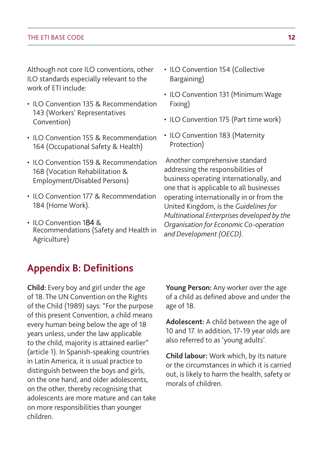Although not core ILO conventions, other ILO standards especially relevant to the work of ETI include:

- ILO Convention 135 & Recommendation 143 (Workers' Representatives Convention)
- ILO Convention 155 & Recommendation 164 (Occupational Safety & Health)
- ILO Convention 159 & Recommendation 168 (Vocation Rehabilitation & Employment/Disabled Persons)
- ILO Convention 177 & Recommendation 184 (Home Work).
- ILO Convention 184 & Recommendations (Safety and Health in Agriculture)
- ILO Convention 154 (Collective Bargaining)
- ILO Convention 131 (Minimum Wage Fixing)
- ILO Convention 175 (Part time work)
- ILO Convention 183 (Maternity Protection)

 Another comprehensive standard addressing the responsibilities of business operating internationally, and one that is applicable to all businesses operating internationally in or from the United Kingdom, is the *Guidelines for Multinational Enterprises developed by the Organisation for Economic Co-operation and Development (OECD)*.

## **Appendix B: Definitions**

**Child:** Every boy and girl under the age of 18. The UN Convention on the Rights of the Child (1989) says: "For the purpose of this present Convention, a child means every human being below the age of 18 years unless, under the law applicable to the child, majority is attained earlier" (article 1). In Spanish-speaking countries in Latin America, it is usual practice to distinguish between the boys and girls, on the one hand, and older adolescents, on the other, thereby recognising that adolescents are more mature and can take on more responsibilities than younger children.

**Young Person:** Any worker over the age of a child as defined above and under the age of 18.

**Adolescent:** A child between the age of 10 and 17. In addition, 17-19 year olds are also referred to as 'young adults'.

**Child labour:** Work which, by its nature or the circumstances in which it is carried out, is likely to harm the health, safety or morals of children.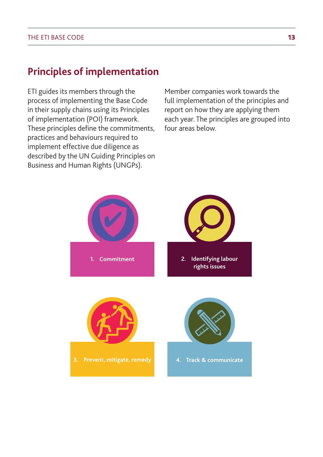## **Principles of implementation**

ETI guides its members through the process of implementing the Base Code in their supply chains using its Principles of implementation (POI) framework. These principles define the commitments, practices and behaviours required to implement effective due diligence as described by the UN Guiding Principles on Business and Human Rights (UNGPs).

Member companies work towards the full implementation of the principles and report on how they are applying them each year. The principles are grouped into four areas below.